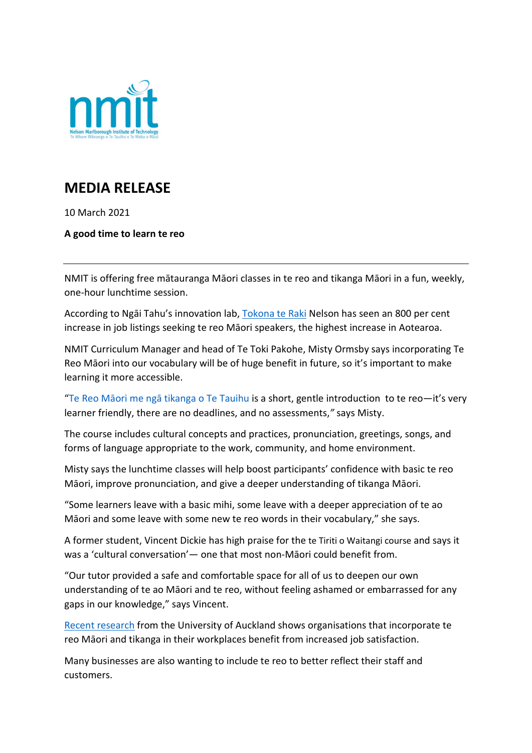

## **MEDIA RELEASE**

10 March 2021

**A good time to learn te reo** 

NMIT is offering free mātauranga Māori classes in te reo and tikanga Māori in a fun, weekly, one-hour lunchtime session.

According to Ngāi Tahu's innovation lab, [Tokona te Raki](https://www.teaomaori.news/soaring-demand-te-reo-workplace) Nelson has seen an 800 per cent increase in job listings seeking te reo Māori speakers, the highest increase in Aotearoa.

NMIT Curriculum Manager and head of Te Toki Pakohe, Misty Ormsby says incorporating Te Reo Māori into our vocabulary will be of huge benefit in future, so it's important to make learning it more accessible.

"[Te Reo Māori me ngā tikanga o Te Tauihu](https://www.nmit.ac.nz/study/short-courses/trt103-te-reo-maori-me-nga-tikanga-o-te-tauihu/) is a short, gentle introduction to te reo—it's very learner friendly, there are no deadlines, and no assessments,*"* says Misty.

The course includes cultural concepts and practices, pronunciation, greetings, songs, and forms of language appropriate to the work, community, and home environment.

Misty says the lunchtime classes will help boost participants' confidence with basic te reo Māori, improve pronunciation, and give a deeper understanding of tikanga Māori.

"Some learners leave with a basic mihi, some leave with a deeper appreciation of te ao Māori and some leave with some new te reo words in their vocabulary," she says.

A former student, Vincent Dickie has high praise for the te Tiriti o Waitangi course and says it was a 'cultural conversation'— one that most non-Māori could benefit from.

"Our tutor provided a safe and comfortable space for all of us to deepen our own understanding of te ao Māori and te reo, without feeling ashamed or embarrassed for any gaps in our knowledge," says Vincent.

[Recent research](https://www.stuff.co.nz/business/114280891/using-te-reo-mori-at-work-leads-to-increased-job-satisfaction-study-finds) from the University of Auckland shows organisations that incorporate te reo Māori and tikanga in their workplaces benefit from increased job satisfaction.

Many businesses are also wanting to include te reo to better reflect their staff and customers.